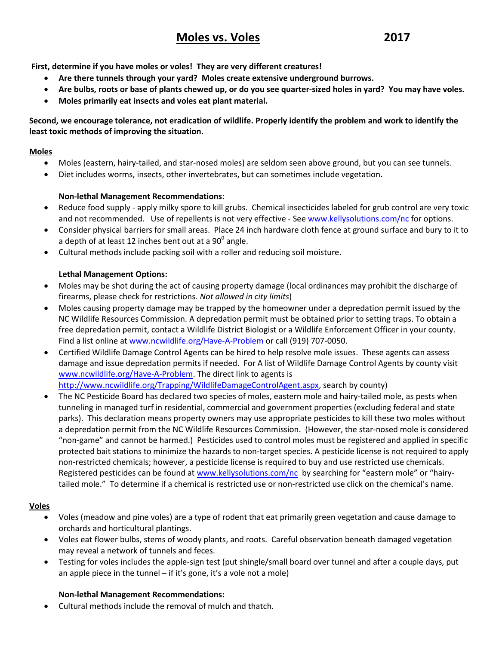# Moles vs. Voles 2017

**First, determine if you have moles or voles! They are very different creatures!**

- **Are there tunnels through your yard? Moles create extensive underground burrows.**
- **Are bulbs, roots or base of plants chewed up, or do you see quarter-sized holes in yard? You may have voles.**
- **Moles primarily eat insects and voles eat plant material.**

**Second, we encourage tolerance, not eradication of wildlife. Properly identify the problem and work to identify the least toxic methods of improving the situation.**

#### **Moles**

- Moles (eastern, hairy-tailed, and star-nosed moles) are seldom seen above ground, but you can see tunnels.
- Diet includes worms, insects, other invertebrates, but can sometimes include vegetation.

## **Non-lethal Management Recommendations**:

- Reduce food supply apply milky spore to kill grubs. Chemical insecticides labeled for grub control are very toxic and not recommended. Use of repellents is not very effective - See [www.kellysolutions.com/nc](http://www.kellysolutions.com/nc) for options.
- Consider physical barriers for small areas. Place 24 inch hardware cloth fence at ground surface and bury to it to a depth of at least 12 inches bent out at a 90 $^{\rm o}$  angle.
- Cultural methods include packing soil with a roller and reducing soil moisture.

## **Lethal Management Options:**

- Moles may be shot during the act of causing property damage (local ordinances may prohibit the discharge of firearms, please check for restrictions. *Not allowed in city limits*)
- Moles causing property damage may be trapped by the homeowner under a depredation permit issued by the NC Wildlife Resources Commission. A depredation permit must be obtained prior to setting traps. To obtain a free depredation permit, contact a Wildlife District Biologist or a Wildlife Enforcement Officer in your county. Find a list online a[t www.ncwildlife.org/Have-A-Problem](http://www.ncwildlife.org/Have-A-Problem) or call (919) 707-0050.
- Certified Wildlife Damage Control Agents can be hired to help resolve mole issues. These agents can assess damage and issue depredation permits if needed. For A list of Wildlife Damage Control Agents by county visit [www.ncwildlife.org/Have-A-Problem.](http://www.ncwildlife.org/Have-A-Problem) The direct link to agents is [http://www.ncwildlife.org/Trapping/WildlifeDamageControlAgent.aspx,](http://www.ncwildlife.org/Trapping/WildlifeDamageControlAgent.aspx) search by county)
- The NC Pesticide Board has declared two species of moles, eastern mole and hairy-tailed mole, as pests when tunneling in managed turf in residential, commercial and government properties (excluding federal and state parks). This declaration means property owners may use appropriate pesticides to kill these two moles without a depredation permit from the NC Wildlife Resources Commission. (However, the star-nosed mole is considered "non-game" and cannot be harmed.) Pesticides used to control moles must be registered and applied in specific protected bait stations to minimize the hazards to non-target species. A pesticide license is not required to apply non-restricted chemicals; however, a pesticide license is required to buy and use restricted use chemicals. Registered pesticides can be found a[t www.kellysolutions.com/nc](http://www.kellysolutions.com/nc) by searching for "eastern mole" or "hairytailed mole." To determine if a chemical is restricted use or non-restricted use click on the chemical's name.

#### **Voles**

- Voles (meadow and pine voles) are a type of rodent that eat primarily green vegetation and cause damage to orchards and horticultural plantings.
- Voles eat flower bulbs, stems of woody plants, and roots. Careful observation beneath damaged vegetation may reveal a network of tunnels and feces.
- Testing for voles includes the apple-sign test (put shingle/small board over tunnel and after a couple days, put an apple piece in the tunnel  $-$  if it's gone, it's a vole not a mole)

#### **Non-lethal Management Recommendations:**

Cultural methods include the removal of mulch and thatch.